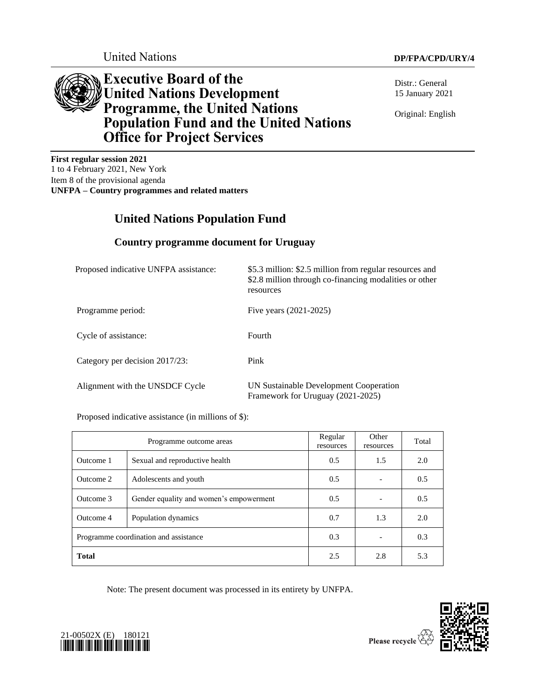

**Executive Board of the United Nations Development Programme, the United Nations Population Fund and the United Nations Office for Project Services**

Distr.: General 15 January 2021

Original: English

**First regular session 2021** 1 to 4 February 2021, New York Item 8 of the provisional agenda **UNFPA – Country programmes and related matters**

# **United Nations Population Fund**

# **Country programme document for Uruguay**

| Proposed indicative UNFPA assistance: | \$5.3 million: \$2.5 million from regular resources and<br>\$2.8 million through co-financing modalities or other<br>resources |
|---------------------------------------|--------------------------------------------------------------------------------------------------------------------------------|
| Programme period:                     | Five years (2021-2025)                                                                                                         |
| Cycle of assistance:                  | Fourth                                                                                                                         |
| Category per decision 2017/23:        | Pink                                                                                                                           |
| Alignment with the UNSDCF Cycle       | UN Sustainable Development Cooperation<br>Framework for Uruguay (2021-2025)                                                    |

Proposed indicative assistance (in millions of \$):

| Programme outcome areas               |                                         | Regular<br>resources | Other<br>resources | Total |
|---------------------------------------|-----------------------------------------|----------------------|--------------------|-------|
| Outcome 1                             | Sexual and reproductive health          | 0.5                  | 1.5                | 2.0   |
| Outcome 2                             | Adolescents and youth                   | 0.5                  |                    | 0.5   |
| Outcome 3                             | Gender equality and women's empowerment | 0.5                  |                    | 0.5   |
| Outcome 4                             | Population dynamics                     | 0.7                  | 1.3                | 2.0   |
| Programme coordination and assistance |                                         | 0.3                  |                    | 0.3   |
| <b>Total</b>                          |                                         | 2.5                  | 2.8                | 5.3   |

Note: The present document was processed in its entirety by UNFPA.



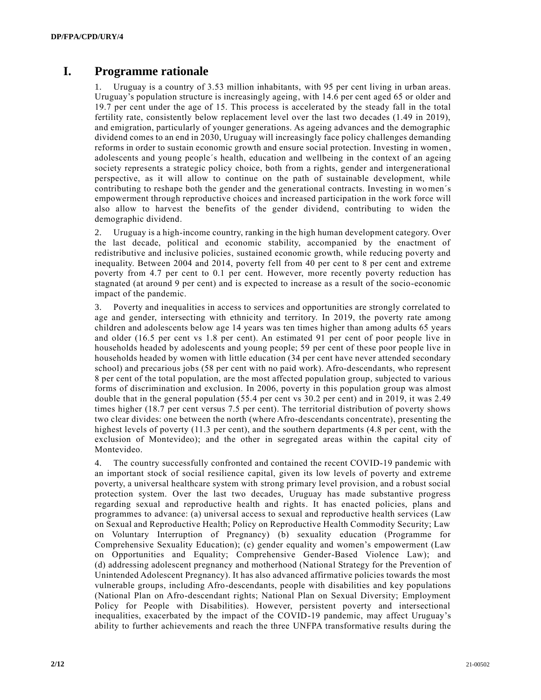# **I. Programme rationale**

Uruguay is a country of 3.53 million inhabitants, with 95 per cent living in urban areas. Uruguay's population structure is increasingly ageing, with 14.6 per cent aged 65 or older and 19.7 per cent under the age of 15. This process is accelerated by the steady fall in the total fertility rate, consistently below replacement level over the last two decades (1.49 in 2019), and emigration, particularly of younger generations. As ageing advances and the demographic dividend comes to an end in 2030, Uruguay will increasingly face policy challenges demanding reforms in order to sustain economic growth and ensure social protection. Investing in women , adolescents and young people´s health, education and wellbeing in the context of an ageing society represents a strategic policy choice, both from a rights, gender and intergenerational perspective, as it will allow to continue on the path of sustainable development, while contributing to reshape both the gender and the generational contracts. Investing in women´s empowerment through reproductive choices and increased participation in the work force will also allow to harvest the benefits of the gender dividend, contributing to widen the demographic dividend.

2. Uruguay is a high-income country, ranking in the high human development category. Over the last decade, political and economic stability, accompanied by the enactment of redistributive and inclusive policies, sustained economic growth, while reducing poverty and inequality. Between 2004 and 2014, poverty fell from 40 per cent to 8 per cent and extreme poverty from 4.7 per cent to 0.1 per cent. However, more recently poverty reduction has stagnated (at around 9 per cent) and is expected to increase as a result of the socio-economic impact of the pandemic.

3. Poverty and inequalities in access to services and opportunities are strongly correlated to age and gender, intersecting with ethnicity and territory. In 2019, the poverty rate among children and adolescents below age 14 years was ten times higher than among adults 65 years and older (16.5 per cent vs 1.8 per cent). An estimated 91 per cent of poor people live in households headed by adolescents and young people; 59 per cent of these poor people live in households headed by women with little education (34 per cent have never attended secondary school) and precarious jobs (58 per cent with no paid work). Afro-descendants, who represent 8 per cent of the total population, are the most affected population group, subjected to various forms of discrimination and exclusion. In 2006, poverty in this population group was almost double that in the general population (55.4 per cent vs 30.2 per cent) and in 2019, it was 2.49 times higher (18.7 per cent versus 7.5 per cent). The territorial distribution of poverty shows two clear divides: one between the north (where Afro-descendants concentrate), presenting the highest levels of poverty (11.3 per cent), and the southern departments (4.8 per cent, with the exclusion of Montevideo); and the other in segregated areas within the capital city of Montevideo.

4. The country successfully confronted and contained the recent COVID-19 pandemic with an important stock of social resilience capital, given its low levels of poverty and extreme poverty, a universal healthcare system with strong primary level provision, and a robust social protection system. Over the last two decades, Uruguay has made substantive progress regarding sexual and reproductive health and rights. It has enacted policies, plans and programmes to advance: (a) universal access to sexual and reproductive health services (Law on Sexual and Reproductive Health; Policy on Reproductive Health Commodity Security; Law on Voluntary Interruption of Pregnancy) (b) sexuality education (Programme for Comprehensive Sexuality Education); (c) gender equality and women's empowerment (Law on Opportunities and Equality; Comprehensive Gender-Based Violence Law); and (d) addressing adolescent pregnancy and motherhood (National Strategy for the Prevention of Unintended Adolescent Pregnancy). It has also advanced affirmative policies towards the most vulnerable groups, including Afro-descendants, people with disabilities and key populations (National Plan on Afro-descendant rights; National Plan on Sexual Diversity; Employment Policy for People with Disabilities). However, persistent poverty and intersectional inequalities, exacerbated by the impact of the COVID-19 pandemic, may affect Uruguay's ability to further achievements and reach the three UNFPA transformative results during the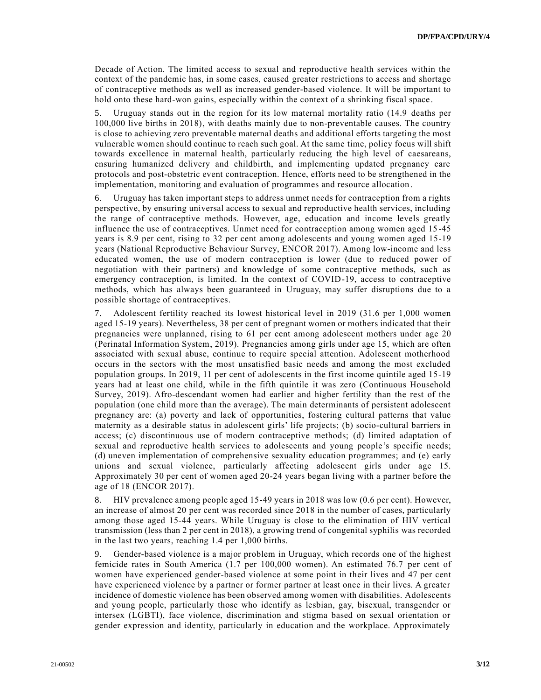Decade of Action. The limited access to sexual and reproductive health services within the context of the pandemic has, in some cases, caused greater restrictions to access and shortage of contraceptive methods as well as increased gender-based violence. It will be important to hold onto these hard-won gains, especially within the context of a shrinking fiscal space.

5. Uruguay stands out in the region for its low maternal mortality ratio (14.9 deaths per 100,000 live births in 2018), with deaths mainly due to non-preventable causes. The country is close to achieving zero preventable maternal deaths and additional efforts targeting the most vulnerable women should continue to reach such goal. At the same time, policy focus will shift towards excellence in maternal health, particularly reducing the high level of caesareans, ensuring humanized delivery and childbirth, and implementing updated pregnancy care protocols and post-obstetric event contraception. Hence, efforts need to be strengthened in the implementation, monitoring and evaluation of programmes and resource allocation.

Uruguay has taken important steps to address unmet needs for contraception from a rights perspective, by ensuring universal access to sexual and reproductive health services, including the range of contraceptive methods. However, age, education and income levels greatly influence the use of contraceptives. Unmet need for contraception among women aged 15 -45 years is 8.9 per cent, rising to 32 per cent among adolescents and young women aged 15-19 years (National Reproductive Behaviour Survey, ENCOR 2017). Among low-income and less educated women, the use of modern contraception is lower (due to reduced power of negotiation with their partners) and knowledge of some contraceptive methods, such as emergency contraception, is limited. In the context of COVID-19, access to contraceptive methods, which has always been guaranteed in Uruguay, may suffer disruptions due to a possible shortage of contraceptives.

7. Adolescent fertility reached its lowest historical level in 2019 (31.6 per 1,000 women aged 15-19 years). Nevertheless, 38 per cent of pregnant women or mothers indicated that their pregnancies were unplanned, rising to 61 per cent among adolescent mothers under age 20 (Perinatal Information System, 2019). Pregnancies among girls under age 15, which are often associated with sexual abuse, continue to require special attention. Adolescent motherhood occurs in the sectors with the most unsatisfied basic needs and among the most excluded population groups. In 2019, 11 per cent of adolescents in the first income quintile aged 15-19 years had at least one child, while in the fifth quintile it was zero (Continuous Household Survey, 2019). Afro-descendant women had earlier and higher fertility than the rest of the population (one child more than the average). The main determinants of persistent adolescent pregnancy are: (a) poverty and lack of opportunities, fostering cultural patterns that value maternity as a desirable status in adolescent girls' life projects; (b) socio-cultural barriers in access; (c) discontinuous use of modern contraceptive methods; (d) limited adaptation of sexual and reproductive health services to adolescents and young people's specific needs; (d) uneven implementation of comprehensive sexuality education programmes; and (e) early unions and sexual violence, particularly affecting adolescent girls under age 15. Approximately 30 per cent of women aged 20-24 years began living with a partner before the age of 18 (ENCOR 2017).

8. HIV prevalence among people aged 15-49 years in 2018 was low (0.6 per cent). However, an increase of almost 20 per cent was recorded since 2018 in the number of cases, particularly among those aged 15-44 years. While Uruguay is close to the elimination of HIV vertical transmission (less than 2 per cent in 2018), a growing trend of congenital syphilis was recorded in the last two years, reaching 1.4 per 1,000 births.

9. Gender-based violence is a major problem in Uruguay, which records one of the highest femicide rates in South America (1.7 per 100,000 women). An estimated 76.7 per cent of women have experienced gender-based violence at some point in their lives and 47 per cent have experienced violence by a partner or former partner at least once in their lives. A greater incidence of domestic violence has been observed among women with disabilities. Adolescents and young people, particularly those who identify as lesbian, gay, bisexual, transgender or intersex (LGBTI), face violence, discrimination and stigma based on sexual orientation or gender expression and identity, particularly in education and the workplace. Approximately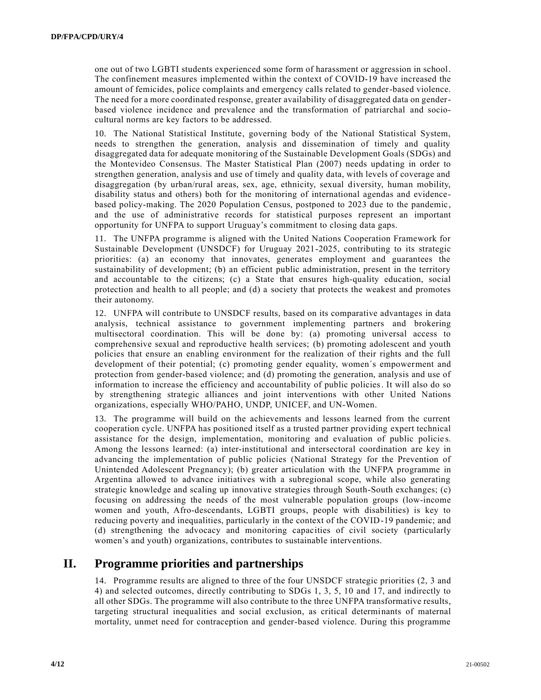one out of two LGBTI students experienced some form of harassment or aggression in school. The confinement measures implemented within the context of COVID-19 have increased the amount of femicides, police complaints and emergency calls related to gender-based violence. The need for a more coordinated response, greater availability of disaggregated data on genderbased violence incidence and prevalence and the transformation of patriarchal and sociocultural norms are key factors to be addressed.

10. The National Statistical Institute, governing body of the National Statistical System, needs to strengthen the generation, analysis and dissemination of timely and quality disaggregated data for adequate monitoring of the Sustainable Development Goals (SDGs) and the Montevideo Consensus. The Master Statistical Plan (2007) needs updating in order to strengthen generation, analysis and use of timely and quality data, with levels of coverage and disaggregation (by urban/rural areas, sex, age, ethnicity, sexual diversity, human mobility, disability status and others) both for the monitoring of international agendas and evidencebased policy-making. The 2020 Population Census, postponed to 2023 due to the pandemic , and the use of administrative records for statistical purposes represent an important opportunity for UNFPA to support Uruguay's commitment to closing data gaps.

11. The UNFPA programme is aligned with the United Nations Cooperation Framework for Sustainable Development (UNSDCF) for Uruguay 2021-2025, contributing to its strategic priorities: (a) an economy that innovates, generates employment and guarantees the sustainability of development; (b) an efficient public administration, present in the territory and accountable to the citizens; (c) a State that ensures high-quality education, social protection and health to all people; and (d) a society that protects the weakest and promotes their autonomy.

12. UNFPA will contribute to UNSDCF results, based on its comparative advantages in data analysis, technical assistance to government implementing partners and brokering multisectoral coordination. This will be done by: (a) promoting universal access to comprehensive sexual and reproductive health services; (b) promoting adolescent and youth policies that ensure an enabling environment for the realization of their rights and the full development of their potential; (c) promoting gender equality, women´s empowerment and protection from gender-based violence; and (d) promoting the generation, analysis and use of information to increase the efficiency and accountability of public policies. It will also do so by strengthening strategic alliances and joint interventions with other United Nations organizations, especially WHO/PAHO, UNDP, UNICEF, and UN-Women.

13. The programme will build on the achievements and lessons learned from the current cooperation cycle. UNFPA has positioned itself as a trusted partner providing expert technical assistance for the design, implementation, monitoring and evaluation of public policies. Among the lessons learned: (a) inter-institutional and intersectoral coordination are key in advancing the implementation of public policies (National Strategy for the Prevention of Unintended Adolescent Pregnancy); (b) greater articulation with the UNFPA programme in Argentina allowed to advance initiatives with a subregional scope, while also generating strategic knowledge and scaling up innovative strategies through South-South exchanges; (c) focusing on addressing the needs of the most vulnerable population groups (low-income women and youth, Afro-descendants, LGBTI groups, people with disabilities) is key to reducing poverty and inequalities, particularly in the context of the COVID-19 pandemic; and (d) strengthening the advocacy and monitoring capacities of civil society (particularly women's and youth) organizations, contributes to sustainable interventions.

# **II. Programme priorities and partnerships**

14. Programme results are aligned to three of the four UNSDCF strategic priorities (2, 3 and 4) and selected outcomes, directly contributing to SDGs 1, 3, 5, 10 and 17, and indirectly to all other SDGs. The programme will also contribute to the three UNFPA transformative results, targeting structural inequalities and social exclusion, as critical determinants of maternal mortality, unmet need for contraception and gender-based violence. During this programme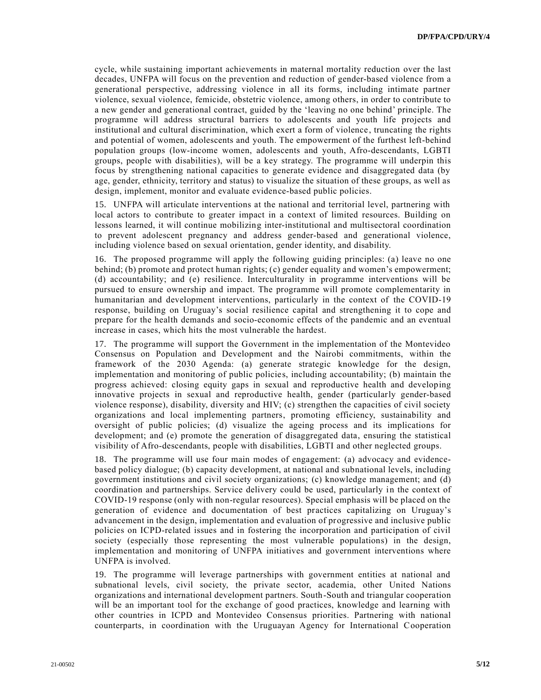cycle, while sustaining important achievements in maternal mortality reduction over the last decades, UNFPA will focus on the prevention and reduction of gender-based violence from a generational perspective, addressing violence in all its forms, including intimate partner violence, sexual violence, femicide, obstetric violence, among others, in order to contribute to a new gender and generational contract, guided by the 'leaving no one behind' principle. The programme will address structural barriers to adolescents and youth life projects and institutional and cultural discrimination, which exert a form of violence , truncating the rights and potential of women, adolescents and youth. The empowerment of the furthest left-behind population groups (low-income women, adolescents and youth, Afro-descendants, LGBTI groups, people with disabilities), will be a key strategy. The programme will underpin this focus by strengthening national capacities to generate evidence and disaggregated data (by age, gender, ethnicity, territory and status) to visualize the situation of these groups, as well as design, implement, monitor and evaluate evidence-based public policies.

15. UNFPA will articulate interventions at the national and territorial level, partnering with local actors to contribute to greater impact in a context of limited resources. Building on lessons learned, it will continue mobilizing inter-institutional and multisectoral coordination to prevent adolescent pregnancy and address gender-based and generational violence, including violence based on sexual orientation, gender identity, and disability.

16. The proposed programme will apply the following guiding principles: (a) leave no one behind; (b) promote and protect human rights; (c) gender equality and women's empowerment; (d) accountability; and (e) resilience. Interculturality in programme interventions will be pursued to ensure ownership and impact. The programme will promote complementarity in humanitarian and development interventions, particularly in the context of the COVID-19 response, building on Uruguay's social resilience capital and strengthening it to cope and prepare for the health demands and socio-economic effects of the pandemic and an eventual increase in cases, which hits the most vulnerable the hardest.

17. The programme will support the Government in the implementation of the Montevideo Consensus on Population and Development and the Nairobi commitments, within the framework of the 2030 Agenda: (a) generate strategic knowledge for the design, implementation and monitoring of public policies, including accountability; (b) maintain the progress achieved: closing equity gaps in sexual and reproductive health and developing innovative projects in sexual and reproductive health, gender (particularly gender-based violence response), disability, diversity and HIV; (c) strengthen the capacities of civil society organizations and local implementing partners, promoting efficiency, sustainability and oversight of public policies; (d) visualize the ageing process and its implications for development; and (e) promote the generation of disaggregated data, ensuring the statistical visibility of Afro-descendants, people with disabilities, LGBTI and other neglected groups.

18. The programme will use four main modes of engagement: (a) advocacy and evidencebased policy dialogue; (b) capacity development, at national and subnational levels, including government institutions and civil society organizations; (c) knowledge management; and (d) coordination and partnerships. Service delivery could be used, particularly in the context of COVID-19 response (only with non-regular resources). Special emphasis will be placed on the generation of evidence and documentation of best practices capitalizing on Uruguay's advancement in the design, implementation and evaluation of progressive and inclusive public policies on ICPD-related issues and in fostering the incorporation and participation of civil society (especially those representing the most vulnerable populations) in the design, implementation and monitoring of UNFPA initiatives and government interventions where UNFPA is involved.

19. The programme will leverage partnerships with government entities at national and subnational levels, civil society, the private sector, academia, other United Nations organizations and international development partners. South-South and triangular cooperation will be an important tool for the exchange of good practices, knowledge and learning with other countries in ICPD and Montevideo Consensus priorities. Partnering with national counterparts, in coordination with the Uruguayan Agency for International Cooperation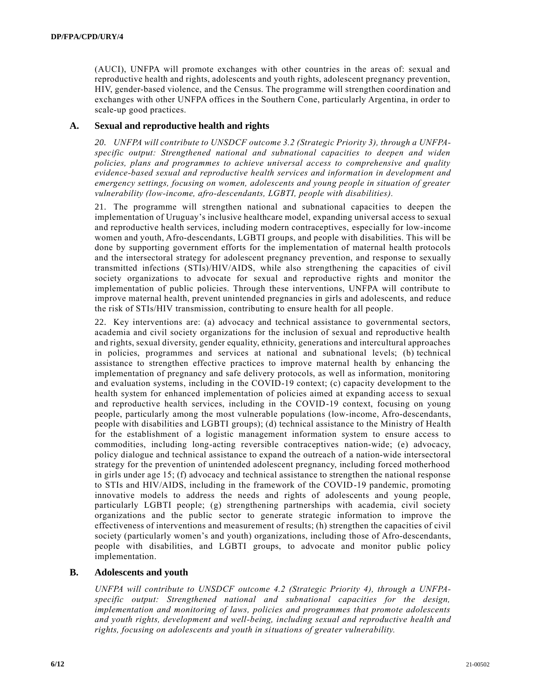(AUCI), UNFPA will promote exchanges with other countries in the areas of: sexual and reproductive health and rights, adolescents and youth rights, adolescent pregnancy prevention, HIV, gender-based violence, and the Census. The programme will strengthen coordination and exchanges with other UNFPA offices in the Southern Cone, particularly Argentina, in order to scale-up good practices.

## **A. Sexual and reproductive health and rights**

*20. UNFPA will contribute to UNSDCF outcome 3.2 (Strategic Priority 3), through a UNFPAspecific output: Strengthened national and subnational capacities to deepen and widen policies, plans and programmes to achieve universal access to comprehensive and quality evidence-based sexual and reproductive health services and information in development and emergency settings, focusing on women, adolescents and young people in situation of greater vulnerability (low-income, afro-descendants, LGBTI, people with disabilities).*

21. The programme will strengthen national and subnational capacities to deepen the implementation of Uruguay's inclusive healthcare model, expanding universal access to sexual and reproductive health services, including modern contraceptives, especially for low-income women and youth, Afro-descendants, LGBTI groups, and people with disabilities. This will be done by supporting government efforts for the implementation of maternal health protocols and the intersectoral strategy for adolescent pregnancy prevention, and response to sexually transmitted infections (STIs)/HIV/AIDS, while also strengthening the capacities of civil society organizations to advocate for sexual and reproductive rights and monitor the implementation of public policies. Through these interventions, UNFPA will contribute to improve maternal health, prevent unintended pregnancies in girls and adolescents, and reduce the risk of STIs/HIV transmission, contributing to ensure health for all people.

22. Key interventions are: (a) advocacy and technical assistance to governmental sectors, academia and civil society organizations for the inclusion of sexual and reproductive health and rights, sexual diversity, gender equality, ethnicity, generations and intercultural approaches in policies, programmes and services at national and subnational levels; (b) technical assistance to strengthen effective practices to improve maternal health by enhancing the implementation of pregnancy and safe delivery protocols, as well as information, monitoring and evaluation systems, including in the COVID-19 context; (c) capacity development to the health system for enhanced implementation of policies aimed at expanding access to sexual and reproductive health services, including in the COVID-19 context, focusing on young people, particularly among the most vulnerable populations (low-income, Afro-descendants, people with disabilities and LGBTI groups); (d) technical assistance to the Ministry of Health for the establishment of a logistic management information system to ensure access to commodities, including long-acting reversible contraceptives nation-wide; (e) advocacy, policy dialogue and technical assistance to expand the outreach of a nation-wide intersectoral strategy for the prevention of unintended adolescent pregnancy, including forced motherhood in girls under age 15; (f) advocacy and technical assistance to strengthen the national response to STIs and HIV/AIDS, including in the framework of the COVID-19 pandemic, promoting innovative models to address the needs and rights of adolescents and young people, particularly LGBTI people; (g) strengthening partnerships with academia, civil society organizations and the public sector to generate strategic information to improve the effectiveness of interventions and measurement of results; (h) strengthen the capacities of civil society (particularly women's and youth) organizations, including those of Afro-descendants, people with disabilities, and LGBTI groups, to advocate and monitor public policy implementation.

#### **B. Adolescents and youth**

*UNFPA will contribute to UNSDCF outcome 4.2 (Strategic Priority 4), through a UNFPAspecific output: Strengthened national and subnational capacities for the design, implementation and monitoring of laws, policies and programmes that promote adolescents and youth rights, development and well-being, including sexual and reproductive health and rights, focusing on adolescents and youth in situations of greater vulnerability.*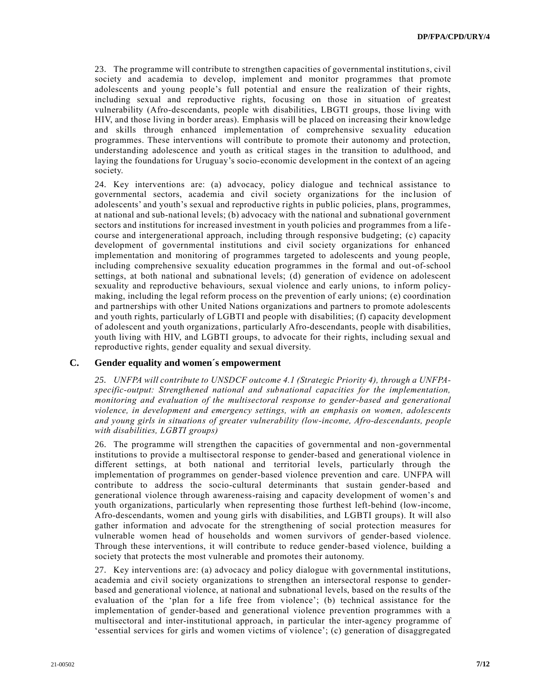23. The programme will contribute to strengthen capacities of governmental institution s, civil society and academia to develop, implement and monitor programmes that promote adolescents and young people's full potential and ensure the realization of their rights, including sexual and reproductive rights, focusing on those in situation of greatest vulnerability (Afro-descendants, people with disabilities, LBGTI groups, those living with HIV, and those living in border areas). Emphasis will be placed on increasing their knowledge and skills through enhanced implementation of comprehensive sexuality education programmes. These interventions will contribute to promote their autonomy and protection, understanding adolescence and youth as critical stages in the transition to adulthood, and laying the foundations for Uruguay's socio-economic development in the context of an ageing society.

24. Key interventions are: (a) advocacy, policy dialogue and technical assistance to governmental sectors, academia and civil society organizations for the inclusion of adolescents' and youth's sexual and reproductive rights in public policies, plans, programmes, at national and sub-national levels; (b) advocacy with the national and subnational government sectors and institutions for increased investment in youth policies and programmes from a life course and intergenerational approach, including through responsive budgeting; (c) capacity development of governmental institutions and civil society organizations for enhanced implementation and monitoring of programmes targeted to adolescents and young people, including comprehensive sexuality education programmes in the formal and out-of-school settings, at both national and subnational levels; (d) generation of evidence on adolescent sexuality and reproductive behaviours, sexual violence and early unions, to inform policymaking, including the legal reform process on the prevention of early unions; (e) coordination and partnerships with other United Nations organizations and partners to promote adolescents and youth rights, particularly of LGBTI and people with disabilities; (f) capacity development of adolescent and youth organizations, particularly Afro-descendants, people with disabilities, youth living with HIV, and LGBTI groups, to advocate for their rights, including sexual and reproductive rights, gender equality and sexual diversity.

#### **C. Gender equality and women´s empowerment**

*25. UNFPA will contribute to UNSDCF outcome 4.1 (Strategic Priority 4), through a UNFPAspecific-output: Strengthened national and subnational capacities for the implementation, monitoring and evaluation of the multisectoral response to gender-based and generational violence, in development and emergency settings, with an emphasis on women, adolescents and young girls in situations of greater vulnerability (low-income, Afro-descendants, people with disabilities, LGBTI groups)*

26. The programme will strengthen the capacities of governmental and non-governmental institutions to provide a multisectoral response to gender-based and generational violence in different settings, at both national and territorial levels, particularly through the implementation of programmes on gender-based violence prevention and care. UNFPA will contribute to address the socio-cultural determinants that sustain gender-based and generational violence through awareness-raising and capacity development of women's and youth organizations, particularly when representing those furthest left-behind (low-income, Afro-descendants, women and young girls with disabilities, and LGBTI groups). It will also gather information and advocate for the strengthening of social protection measures for vulnerable women head of households and women survivors of gender-based violence. Through these interventions, it will contribute to reduce gender-based violence, building a society that protects the most vulnerable and promotes their autonomy.

27. Key interventions are: (a) advocacy and policy dialogue with governmental institutions, academia and civil society organizations to strengthen an intersectoral response to genderbased and generational violence, at national and subnational levels, based on the results of the evaluation of the 'plan for a life free from violence'; (b) technical assistance for the implementation of gender-based and generational violence prevention programmes with a multisectoral and inter-institutional approach, in particular the inter-agency programme of 'essential services for girls and women victims of violence'; (c) generation of disaggregated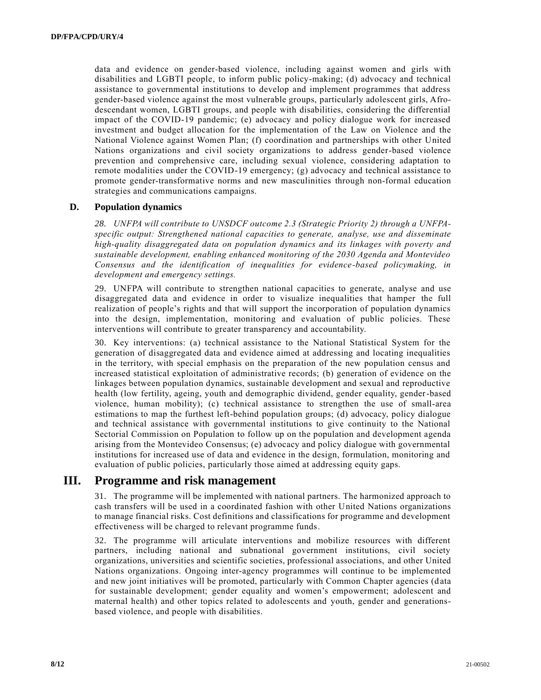data and evidence on gender-based violence, including against women and girls with disabilities and LGBTI people, to inform public policy-making; (d) advocacy and technical assistance to governmental institutions to develop and implement programmes that address gender-based violence against the most vulnerable groups, particularly adolescent girls, Afrodescendant women, LGBTI groups, and people with disabilities, considering the differential impact of the COVID-19 pandemic; (e) advocacy and policy dialogue work for increased investment and budget allocation for the implementation of the Law on Violence and the National Violence against Women Plan; (f) coordination and partnerships with other United Nations organizations and civil society organizations to address gender-based violence prevention and comprehensive care, including sexual violence, considering adaptation to remote modalities under the COVID-19 emergency; (g) advocacy and technical assistance to promote gender-transformative norms and new masculinities through non-formal education strategies and communications campaigns.

## **D. Population dynamics**

*28. UNFPA will contribute to UNSDCF outcome 2.3 (Strategic Priority 2) through a UNFPAspecific output: Strengthened national capacities to generate, analyse, use and disseminate high-quality disaggregated data on population dynamics and its linkages with poverty and sustainable development, enabling enhanced monitoring of the 2030 Agenda and Montevideo Consensus and the identification of inequalities for evidence-based policymaking, in development and emergency settings.*

29. UNFPA will contribute to strengthen national capacities to generate, analyse and use disaggregated data and evidence in order to visualize inequalities that hamper the full realization of people's rights and that will support the incorporation of population dynamics into the design, implementation, monitoring and evaluation of public policies. These interventions will contribute to greater transparency and accountability.

30. Key interventions: (a) technical assistance to the National Statistical System for the generation of disaggregated data and evidence aimed at addressing and locating inequalities in the territory, with special emphasis on the preparation of the new population census and increased statistical exploitation of administrative records; (b) generation of evidence on the linkages between population dynamics, sustainable development and sexual and reproductive health (low fertility, ageing, youth and demographic dividend, gender equality, gender-based violence, human mobility); (c) technical assistance to strengthen the use of small-area estimations to map the furthest left-behind population groups; (d) advocacy, policy dialogue and technical assistance with governmental institutions to give continuity to the National Sectorial Commission on Population to follow up on the population and development agenda arising from the Montevideo Consensus; (e) advocacy and policy dialogue with governmental institutions for increased use of data and evidence in the design, formulation, monitoring and evaluation of public policies, particularly those aimed at addressing equity gaps.

## **III. Programme and risk management**

31. The programme will be implemented with national partners. The harmonized approach to cash transfers will be used in a coordinated fashion with other United Nations organizations to manage financial risks. Cost definitions and classifications for programme and development effectiveness will be charged to relevant programme funds.

32. The programme will articulate interventions and mobilize resources with different partners, including national and subnational government institutions, civil society organizations, universities and scientific societies, professional associations, and other United Nations organizations. Ongoing inter-agency programmes will continue to be implemented and new joint initiatives will be promoted, particularly with Common Chapter agencies (d ata for sustainable development; gender equality and women's empowerment; adolescent and maternal health) and other topics related to adolescents and youth, gender and generationsbased violence, and people with disabilities.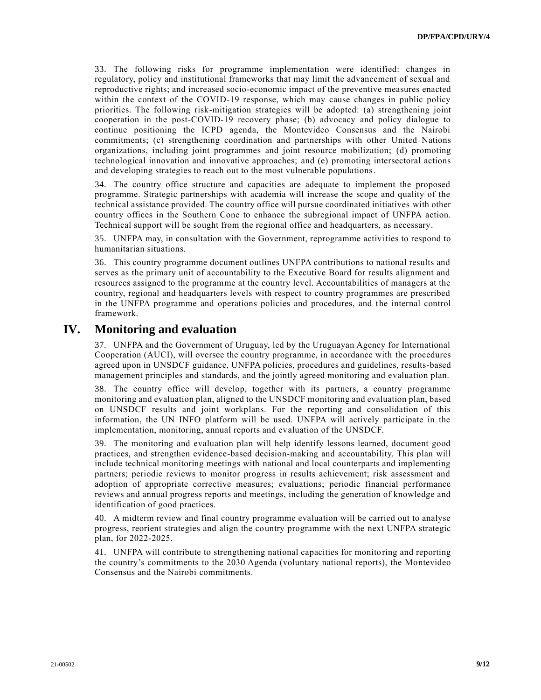33. The following risks for programme implementation were identified: changes in regulatory, policy and institutional frameworks that may limit the advancement of sexual and reproductive rights; and increased socio-economic impact of the preventive measures enacted within the context of the COVID-19 response, which may cause changes in public policy priorities. The following risk-mitigation strategies will be adopted: (a) strengthening joint cooperation in the post-COVID-19 recovery phase; (b) advocacy and policy dialogue to continue positioning the ICPD agenda, the Montevideo Consensus and the Nairobi commitments; (c) strengthening coordination and partnerships with other United Nations organizations, including joint programmes and joint resource mobilization; (d) promoting technological innovation and innovative approaches; and (e) promoting intersectoral actions and developing strategies to reach out to the most vulnerable populations.

34. The country office structure and capacities are adequate to implement the proposed programme. Strategic partnerships with academia will increase the scope and quality of the technical assistance provided. The country office will pursue coordinated initiatives with other country offices in the Southern Cone to enhance the subregional impact of UNFPA action. Technical support will be sought from the regional office and headquarters, as necessary.

35. UNFPA may, in consultation with the Government, reprogramme activities to respond to humanitarian situations.

36. This country programme document outlines UNFPA contributions to national results and serves as the primary unit of accountability to the Executive Board for results alignment and resources assigned to the programme at the country level. Accountabilities of managers at the country, regional and headquarters levels with respect to country programmes are prescribed in the UNFPA programme and operations policies and procedures, and the internal control framework.

# **IV. Monitoring and evaluation**

37. UNFPA and the Government of Uruguay, led by the Uruguayan Agency for International Cooperation (AUCI), will oversee the country programme, in accordance with the procedures agreed upon in UNSDCF guidance, UNFPA policies, procedures and guidelines, results-based management principles and standards, and the jointly agreed monitoring and evaluation plan.

38. The country office will develop, together with its partners, a country programme monitoring and evaluation plan, aligned to the UNSDCF monitoring and evaluation plan, based on UNSDCF results and joint workplans. For the reporting and consolidation of this information, the UN INFO platform will be used. UNFPA will actively participate in the implementation, monitoring, annual reports and evaluation of the UNSDCF.

39. The monitoring and evaluation plan will help identify lessons learned, document good practices, and strengthen evidence-based decision-making and accountability. This plan will include technical monitoring meetings with national and local counterparts and implementing partners; periodic reviews to monitor progress in results achievement; risk assessment and adoption of appropriate corrective measures; evaluations; periodic financial performance reviews and annual progress reports and meetings, including the generation of knowledge and identification of good practices.

40. A midterm review and final country programme evaluation will be carried out to analyse progress, reorient strategies and align the country programme with the next UNFPA strategic plan, for 2022-2025.

41. UNFPA will contribute to strengthening national capacities for monitoring and reporting the country's commitments to the 2030 Agenda (voluntary national reports), the Montevideo Consensus and the Nairobi commitments.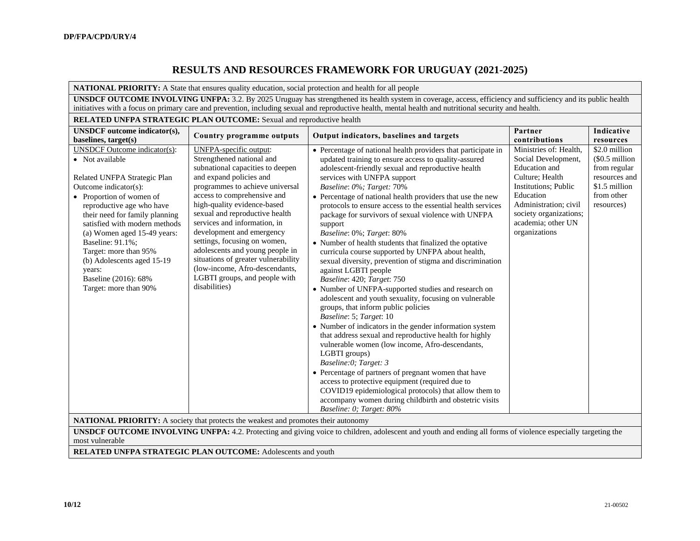# **RESULTS AND RESOURCES FRAMEWORK FOR URUGUAY (2021-2025)**

#### **NATIONAL PRIORITY:** A State that ensures quality education, social protection and health for all people

**UNSDCF OUTCOME INVOLVING UNFPA:** 3.2. By 2025 Uruguay has strengthened its health system in coverage, access, efficiency and sufficiency and its public health initiatives with a focus on primary care and prevention, including sexual and reproductive health, mental health and nutritional security and health.

#### **RELATED UNFPA STRATEGIC PLAN OUTCOME:** Sexual and reproductive health **UNSDCF outcome indicator(s), baselines, target(s) Country programme outputs Output indicators, baselines and targets Partner Partner Partner Partner Partner Partner Partner Partner Partner Partner Partner Partner Partner contributions Indicative resources** UNSDCF Outcome indicator(s): • Not available Related UNFPA Strategic Plan Outcome indicator(s): • Proportion of women of reproductive age who have their need for family planning satisfied with modern methods (a) Women aged 15-49 years: Baseline: 91.1%; Target: more than 95% (b) Adolescents aged 15-19 years: Baseline (2016): 68% Target: more than 90% UNFPA-specific output: Strengthened national and subnational capacities to deepen and expand policies and programmes to achieve universal access to comprehensive and high-quality evidence-based sexual and reproductive health services and information, in development and emergency settings, focusing on women, adolescents and young people in situations of greater vulnerability (low-income, Afro-descendants, LGBTI groups, and people with disabilities) • Percentage of national health providers that participate in updated training to ensure access to quality-assured adolescent-friendly sexual and reproductive health services with UNFPA support *Baseline*: *0*%*; Target:* 70% • Percentage of national health providers that use the new protocols to ensure access to the essential health services package for survivors of sexual violence with UNFPA support *Baseline*: 0%; *Target*: 80% • Number of health students that finalized the optative curricula course supported by UNFPA about health, sexual diversity, prevention of stigma and discrimination against LGBTI people *Baseline*: 420; *Target*: 750 • Number of UNFPA-supported studies and research on adolescent and youth sexuality, focusing on vulnerable groups, that inform public policies *Baseline*: 5; *Target*: 10 • Number of indicators in the gender information system that address sexual and reproductive health for highly vulnerable women (low income, Afro-descendants, LGBTI groups) *Baseline:0; Target: 3* • Percentage of partners of pregnant women that have access to protective equipment (required due to COVID19 epidemiological protocols) that allow them to accompany women during childbirth and obstetric visits *Baseline: 0; Target: 80%*  Ministries of: Health, Social Development, Education and Culture; Health Institutions; Public Education Administration; civil society organizations; academia; other UN organizations \$2.0 million (\$0.5 million from regular resources and \$1.5 million from other resources)

**NATIONAL PRIORITY:** A society that protects the weakest and promotes their autonomy

**UNSDCF OUTCOME INVOLVING UNFPA:** 4.2. Protecting and giving voice to children, adolescent and youth and ending all forms of violence especially targeting the most vulnerable

**RELATED UNFPA STRATEGIC PLAN OUTCOME:** Adolescents and youth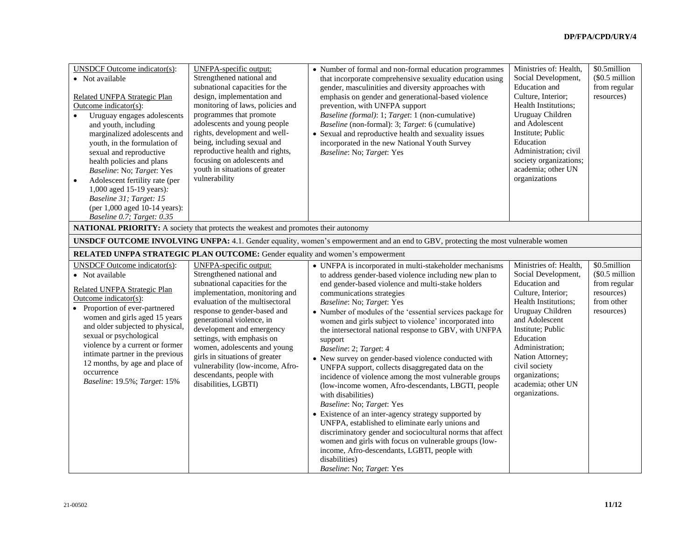| <b>UNSDCF</b> Outcome indicator(s):<br>• Not available<br>Related UNFPA Strategic Plan<br>Outcome indicator( $s$ ):<br>Uruguay engages adolescents<br>$\bullet$<br>and youth, including<br>marginalized adolescents and<br>youth, in the formulation of<br>sexual and reproductive<br>health policies and plans<br>Baseline: No; Target: Yes<br>Adolescent fertility rate (per<br>$\bullet$<br>1,000 aged 15-19 years):<br>Baseline 31; Target: 15<br>(per 1,000 aged 10-14 years):<br>Baseline 0.7; Target: 0.35 | <b>UNFPA-specific output:</b><br>Strengthened national and<br>subnational capacities for the<br>design, implementation and<br>monitoring of laws, policies and<br>programmes that promote<br>adolescents and young people<br>rights, development and well-<br>being, including sexual and<br>reproductive health and rights,<br>focusing on adolescents and<br>youth in situations of greater<br>vulnerability                                      | • Number of formal and non-formal education programmes<br>that incorporate comprehensive sexuality education using<br>gender, masculinities and diversity approaches with<br>emphasis on gender and generational-based violence<br>prevention, with UNFPA support<br>Baseline (formal): 1; Target: 1 (non-cumulative)<br>Baseline (non-formal): 3; Target: 6 (cumulative)<br>• Sexual and reproductive health and sexuality issues<br>incorporated in the new National Youth Survey<br>Baseline: No; Target: Yes                                                                                                                                                                                                                                                                                                                                                                                                                                                                                                                                                        | Ministries of: Health,<br>Social Development,<br>Education and<br>Culture, Interior;<br>Health Institutions;<br>Uruguay Children<br>and Adolescent<br>Institute; Public<br>Education<br>Administration; civil<br>society organizations;<br>academia; other UN<br>organizations                         | \$0.5million<br>(\$0.5 million<br>from regular<br>resources)                             |
|-------------------------------------------------------------------------------------------------------------------------------------------------------------------------------------------------------------------------------------------------------------------------------------------------------------------------------------------------------------------------------------------------------------------------------------------------------------------------------------------------------------------|-----------------------------------------------------------------------------------------------------------------------------------------------------------------------------------------------------------------------------------------------------------------------------------------------------------------------------------------------------------------------------------------------------------------------------------------------------|-------------------------------------------------------------------------------------------------------------------------------------------------------------------------------------------------------------------------------------------------------------------------------------------------------------------------------------------------------------------------------------------------------------------------------------------------------------------------------------------------------------------------------------------------------------------------------------------------------------------------------------------------------------------------------------------------------------------------------------------------------------------------------------------------------------------------------------------------------------------------------------------------------------------------------------------------------------------------------------------------------------------------------------------------------------------------|--------------------------------------------------------------------------------------------------------------------------------------------------------------------------------------------------------------------------------------------------------------------------------------------------------|------------------------------------------------------------------------------------------|
| <b>NATIONAL PRIORITY:</b> A society that protects the weakest and promotes their autonomy                                                                                                                                                                                                                                                                                                                                                                                                                         |                                                                                                                                                                                                                                                                                                                                                                                                                                                     |                                                                                                                                                                                                                                                                                                                                                                                                                                                                                                                                                                                                                                                                                                                                                                                                                                                                                                                                                                                                                                                                         |                                                                                                                                                                                                                                                                                                        |                                                                                          |
|                                                                                                                                                                                                                                                                                                                                                                                                                                                                                                                   |                                                                                                                                                                                                                                                                                                                                                                                                                                                     | <b>UNSDCF OUTCOME INVOLVING UNFPA:</b> 4.1. Gender equality, women's empowerment and an end to GBV, protecting the most vulnerable women                                                                                                                                                                                                                                                                                                                                                                                                                                                                                                                                                                                                                                                                                                                                                                                                                                                                                                                                |                                                                                                                                                                                                                                                                                                        |                                                                                          |
| RELATED UNFPA STRATEGIC PLAN OUTCOME: Gender equality and women's empowerment                                                                                                                                                                                                                                                                                                                                                                                                                                     |                                                                                                                                                                                                                                                                                                                                                                                                                                                     |                                                                                                                                                                                                                                                                                                                                                                                                                                                                                                                                                                                                                                                                                                                                                                                                                                                                                                                                                                                                                                                                         |                                                                                                                                                                                                                                                                                                        |                                                                                          |
| <b>UNSDCF</b> Outcome indicator(s):<br>• Not available<br>Related UNFPA Strategic Plan<br>Outcome indicator( $s$ ):<br>• Proportion of ever-partnered<br>women and girls aged 15 years<br>and older subjected to physical,<br>sexual or psychological<br>violence by a current or former<br>intimate partner in the previous<br>12 months, by age and place of<br>occurrence<br>Baseline: 19.5%; Target: 15%                                                                                                      | <b>UNFPA-specific output:</b><br>Strengthened national and<br>subnational capacities for the<br>implementation, monitoring and<br>evaluation of the multisectoral<br>response to gender-based and<br>generational violence, in<br>development and emergency<br>settings, with emphasis on<br>women, adolescents and young<br>girls in situations of greater<br>vulnerability (low-income, Afro-<br>descendants, people with<br>disabilities, LGBTI) | • UNFPA is incorporated in multi-stakeholder mechanisms<br>to address gender-based violence including new plan to<br>end gender-based violence and multi-stake holders<br>communications strategies<br>Baseline: No; Target: Yes<br>• Number of modules of the 'essential services package for<br>women and girls subject to violence' incorporated into<br>the intersectoral national response to GBV, with UNFPA<br>support<br>Baseline: 2; Target: 4<br>• New survey on gender-based violence conducted with<br>UNFPA support, collects disaggregated data on the<br>incidence of violence among the most vulnerable groups<br>(low-income women, Afro-descendants, LBGTI, people<br>with disabilities)<br>Baseline: No; Target: Yes<br>• Existence of an inter-agency strategy supported by<br>UNFPA, established to eliminate early unions and<br>discriminatory gender and sociocultural norms that affect<br>women and girls with focus on vulnerable groups (low-<br>income, Afro-descendants, LGBTI, people with<br>disabilities)<br>Baseline: No; Target: Yes | Ministries of: Health,<br>Social Development,<br>Education and<br>Culture, Interior;<br>Health Institutions;<br>Uruguay Children<br>and Adolescent<br>Institute; Public<br>Education<br>Administration;<br>Nation Attorney;<br>civil society<br>organizations;<br>academia; other UN<br>organizations. | \$0.5million<br>$$0.5$ million<br>from regular<br>resources)<br>from other<br>resources) |